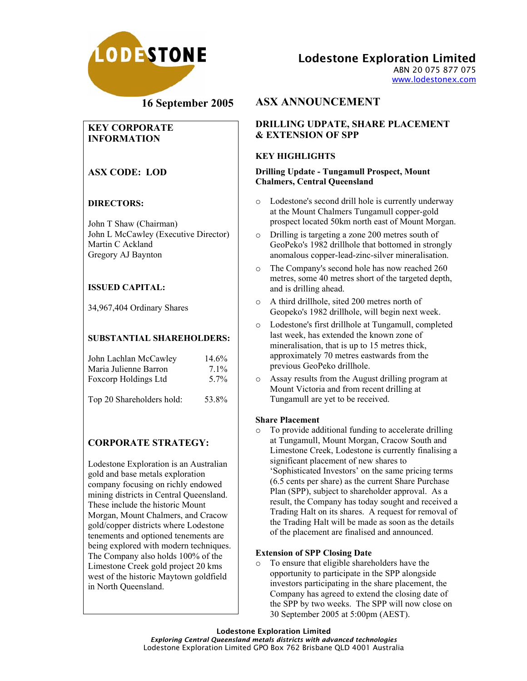

Lodestone Exploration Limited

ABN 20 075 877 075 www.lodestonex.com

# **16 September 2005**

## **KEY CORPORATE INFORMATION**

## **ASX CODE: LOD**

## **DIRECTORS:**

John T Shaw (Chairman) John L McCawley (Executive Director) Martin C Ackland Gregory AJ Baynton

## **ISSUED CAPITAL:**

34,967,404 Ordinary Shares

### **SUBSTANTIAL SHAREHOLDERS:**

| John Lachlan McCawley     | 14.6%            |
|---------------------------|------------------|
| Maria Julienne Barron     | $7.1\%$          |
| Foxcorp Holdings Ltd      | 5 7 <sub>%</sub> |
| Top 20 Shareholders hold: | 53.8%            |

## **CORPORATE STRATEGY:**

Lodestone Exploration is an Australian gold and base metals exploration company focusing on richly endowed mining districts in Central Queensland. These include the historic Mount Morgan, Mount Chalmers, and Cracow gold/copper districts where Lodestone tenements and optioned tenements are being explored with modern techniques. The Company also holds 100% of the Limestone Creek gold project 20 kms west of the historic Maytown goldfield in North Queensland.

# **ASX ANNOUNCEMENT**

## **DRILLING UDPATE, SHARE PLACEMENT & EXTENSION OF SPP**

## **KEY HIGHLIGHTS**

#### **Drilling Update - Tungamull Prospect, Mount Chalmers, Central Queensland**

- o Lodestone's second drill hole is currently underway at the Mount Chalmers Tungamull copper-gold prospect located 50km north east of Mount Morgan.
- o Drilling is targeting a zone 200 metres south of GeoPeko's 1982 drillhole that bottomed in strongly anomalous copper-lead-zinc-silver mineralisation.
- o The Company's second hole has now reached 260 metres, some 40 metres short of the targeted depth, and is drilling ahead.
- o A third drillhole, sited 200 metres north of Geopeko's 1982 drillhole, will begin next week.
- o Lodestone's first drillhole at Tungamull, completed last week, has extended the known zone of mineralisation, that is up to 15 metres thick, approximately 70 metres eastwards from the previous GeoPeko drillhole.
- o Assay results from the August drilling program at Mount Victoria and from recent drilling at Tungamull are yet to be received.

#### **Share Placement**

o To provide additional funding to accelerate drilling at Tungamull, Mount Morgan, Cracow South and Limestone Creek, Lodestone is currently finalising a significant placement of new shares to 'Sophisticated Investors' on the same pricing terms (6.5 cents per share) as the current Share Purchase Plan (SPP), subject to shareholder approval. As a result, the Company has today sought and received a Trading Halt on its shares. A request for removal of the Trading Halt will be made as soon as the details of the placement are finalised and announced.

#### **Extension of SPP Closing Date**

o To ensure that eligible shareholders have the opportunity to participate in the SPP alongside investors participating in the share placement, the Company has agreed to extend the closing date of the SPP by two weeks. The SPP will now close on 30 September 2005 at 5:00pm (AEST).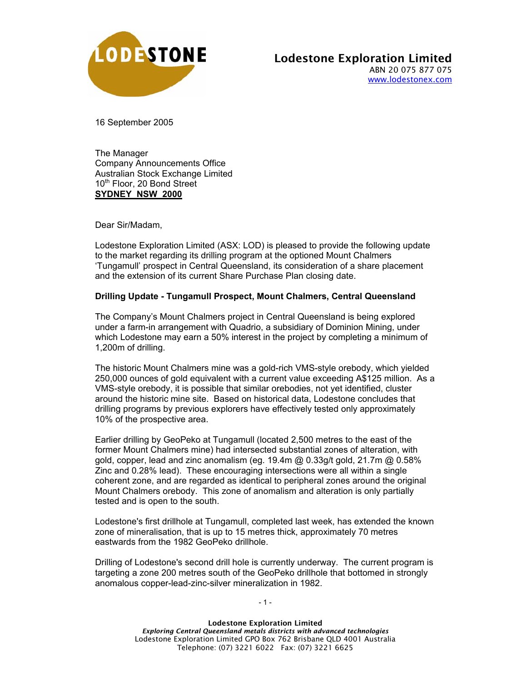

16 September 2005

The Manager Company Announcements Office Australian Stock Exchange Limited 10<sup>th</sup> Floor, 20 Bond Street **SYDNEY NSW 2000**

Dear Sir/Madam,

Lodestone Exploration Limited (ASX: LOD) is pleased to provide the following update to the market regarding its drilling program at the optioned Mount Chalmers 'Tungamull' prospect in Central Queensland, its consideration of a share placement and the extension of its current Share Purchase Plan closing date.

#### **Drilling Update - Tungamull Prospect, Mount Chalmers, Central Queensland**

The Company's Mount Chalmers project in Central Queensland is being explored under a farm-in arrangement with Quadrio, a subsidiary of Dominion Mining, under which Lodestone may earn a 50% interest in the project by completing a minimum of 1,200m of drilling.

The historic Mount Chalmers mine was a gold-rich VMS-style orebody, which yielded 250,000 ounces of gold equivalent with a current value exceeding A\$125 million. As a VMS-style orebody, it is possible that similar orebodies, not yet identified, cluster around the historic mine site. Based on historical data, Lodestone concludes that drilling programs by previous explorers have effectively tested only approximately 10% of the prospective area.

Earlier drilling by GeoPeko at Tungamull (located 2,500 metres to the east of the former Mount Chalmers mine) had intersected substantial zones of alteration, with gold, copper, lead and zinc anomalism (eg. 19.4m @ 0.33g/t gold, 21.7m @ 0.58% Zinc and 0.28% lead). These encouraging intersections were all within a single coherent zone, and are regarded as identical to peripheral zones around the original Mount Chalmers orebody. This zone of anomalism and alteration is only partially tested and is open to the south.

Lodestone's first drillhole at Tungamull, completed last week, has extended the known zone of mineralisation, that is up to 15 metres thick, approximately 70 metres eastwards from the 1982 GeoPeko drillhole.

Drilling of Lodestone's second drill hole is currently underway. The current program is targeting a zone 200 metres south of the GeoPeko drillhole that bottomed in strongly anomalous copper-lead-zinc-silver mineralization in 1982.

- 1 -

Lodestone Exploration Limited *Exploring Central Queensland metals districts with advanced technologies* Lodestone Exploration Limited GPO Box 762 Brisbane QLD 4001 Australia Telephone: (07) 3221 6022 Fax: (07) 3221 6625